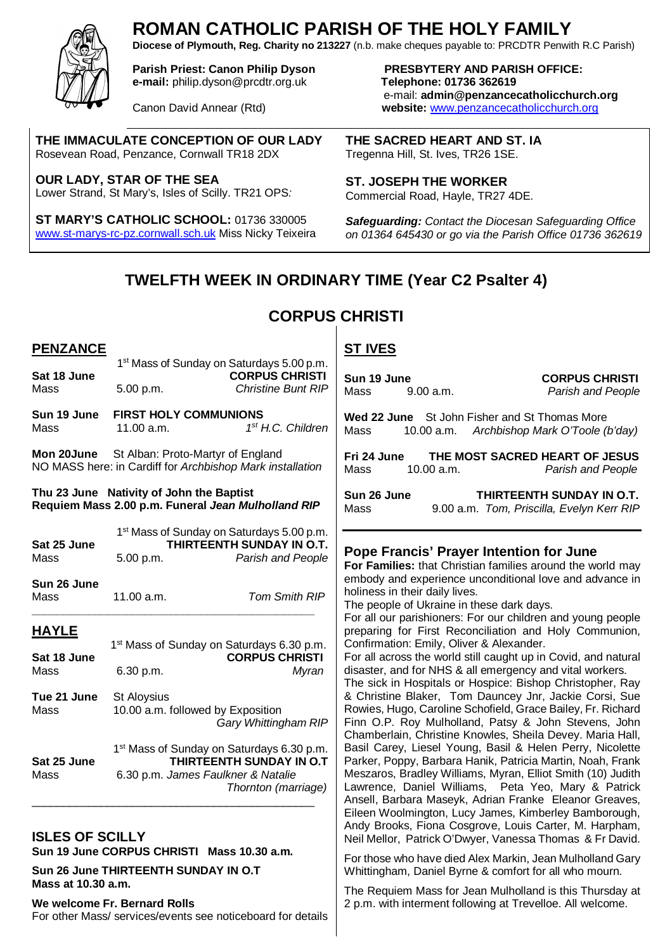

**PENZANCE**  $1$ 

Mass 11.00 a.m. *1*

# **ROMAN CATHOLIC PARISH OF THE HOLY FAMILY**

**Diocese of Plymouth, Reg. Charity no 213227** (n.b. make cheques payable to: PRCDTR Penwith R.C Parish)

**e-mail:** philip.dyson@prcdtr.org.uk **Telephone: 01736 362619**

**THE IMMACULATE CONCEPTION OF OUR LADY** Rosevean Road, Penzance, Cornwall TR18 2DX

**OUR LADY, STAR OF THE SEA** Lower Strand, St Mary's, Isles of Scilly. TR21 OPS*:* 

**Sun 19 June FIRST HOLY COMMUNIONS** 

**Thu 23 June Nativity of John the Baptist**

**ST MARY'S CATHOLIC SCHOOL:** 01736 330005 www.st-marys-rc-pz.cornwall.sch.uk Miss Nicky Teixeira

**Parish Priest: Canon Philip Dyson PRESBYTERY AND PARISH OFFICE:**  e-mail: **admin@penzancecatholicchurch.org** Canon David Annear (Rtd) **website:** www.penzancecatholicchurch.org

> **THE SACRED HEART AND ST. IA** Tregenna Hill, St. Ives, TR26 1SE.

**ST. JOSEPH THE WORKER** Commercial Road, Hayle, TR27 4DE.

*Safeguarding: Contact the Diocesan Safeguarding Office on 01364 645430 or go via the Parish Office 01736 362619*

## **TWELFTH WEEK IN ORDINARY TIME (Year C2 Psalter 4)**

## **CORPUS CHRISTI**

**ST IVES**

#### 1<sup>st</sup> Mass of Sunday on Saturdays 5.00 p.m. Sat 18 June **CORPUS CHRISTI** Mass 5.00 p.m. *Christine Bunt RIP st H.C. Children* **Mon 20June** St Alban: Proto-Martyr of England NO MASS here: in Cardiff for *Archbishop Mark installation* **Requiem Mass 2.00 p.m. Funeral** *Jean Mulholland RIP* 1<sup>st</sup> Mass of Sunday on Saturdays 5.00 p.m. **Sun 19 June**<br>
Mass 9.00 a.m. **CORPUS CHRISTI**<br> *Parish and People* Mass 9.00 a.m. *Parish and People* **Wed 22 June** St John Fisher and St Thomas More Mass 10.00 a.m. *Archbishop Mark O'Toole (b'day)* **Fri 24 June THE MOST SACRED HEART OF JESUS** Mass 10.00 a.m. *Parish and People* **Sun 26 June THIRTEENTH SUNDAY IN O.T.**  Mass 9.00 a.m. *Tom, Priscilla, Evelyn Kerr RIP*

**Sat 25 June THIRTEENTH SUNDAY IN O.T.**  Mass 5.00 p.m. *Parish and People* **Sun 26 June** Mass 11.00 a.m. *Tom Smith RIP* **\_\_\_\_\_\_\_\_\_\_\_\_\_\_\_\_\_\_\_\_\_\_\_\_\_\_\_\_\_\_\_\_\_\_\_\_\_\_\_\_\_\_\_\_\_ HAYLE** 1 st Mass of Sunday on Saturdays 6.30 p.m. **Sat 18 June CORPUS CHRISTI** Mass 6.30 p.m.*Myran* **Tue 21 June** St Aloysius Mass 10.00 a.m. followed by Exposition *Gary Whittingham RIP* 1<sup>st</sup> Mass of Sunday on Saturdays 6.30 p.m. **Sat 25 June THIRTEENTH SUNDAY IN O.T**<br>Mass 6.30 p.m. James Faulkner & Natalie Mass 6.30 p.m. *James Faulkner & Natalie Thornton (marriage)* \_\_\_\_\_\_\_\_\_\_\_\_\_\_\_\_\_\_\_\_\_\_\_\_\_\_\_\_\_\_\_\_\_\_\_\_\_\_\_\_\_\_\_\_\_ **ISLES OF SCILLY Sun 19 June CORPUS CHRISTI Mass 10.30 a.m. Sun 26 June THIRTEENTH SUNDAY IN O.T Mass at 10.30 a.m. Pope Francis' Prayer Intention for June For Families:** that Christian families around the world may embody and experience unconditional love and advance in holiness in their daily lives. The people of Ukraine in these dark days. For all our parishioners: For our children and young people preparing for First Reconciliation and Holy Communion, Confirmation: Emily, Oliver & Alexander. For all across the world still caught up in Covid, and natural disaster, and for NHS & all emergency and vital workers. The sick in Hospitals or Hospice: Bishop Christopher, Ray & Christine Blaker, Tom Dauncey Jnr, Jackie Corsi, Sue Rowies, Hugo, Caroline Schofield, Grace Bailey, Fr. Richard Finn O.P. Roy Mulholland, Patsy & John Stevens, John Chamberlain, Christine Knowles, Sheila Devey. Maria Hall, Basil Carey, Liesel Young, Basil & Helen Perry, Nicolette Parker, Poppy, Barbara Hanik, Patricia Martin, Noah, Frank Meszaros, Bradley Williams, Myran, Elliot Smith (10) Judith Lawrence, Daniel Williams, Peta Yeo, Mary & Patrick Ansell, Barbara Maseyk, Adrian Franke Eleanor Greaves, Eileen Woolmington, Lucy James, Kimberley Bamborough, Andy Brooks, Fiona Cosgrove, Louis Carter, M. Harpham, Neil Mellor, Patrick O'Dwyer, Vanessa Thomas & Fr David. For those who have died Alex Markin, Jean Mulholland Gary Whittingham, Daniel Byrne & comfort for all who mourn.

The Requiem Mass for Jean Mulholland is this Thursday at 2 p.m. with interment following at Trevelloe. All welcome.

For other Mass/ services/events see noticeboard for details

**We welcome Fr. Bernard Rolls**